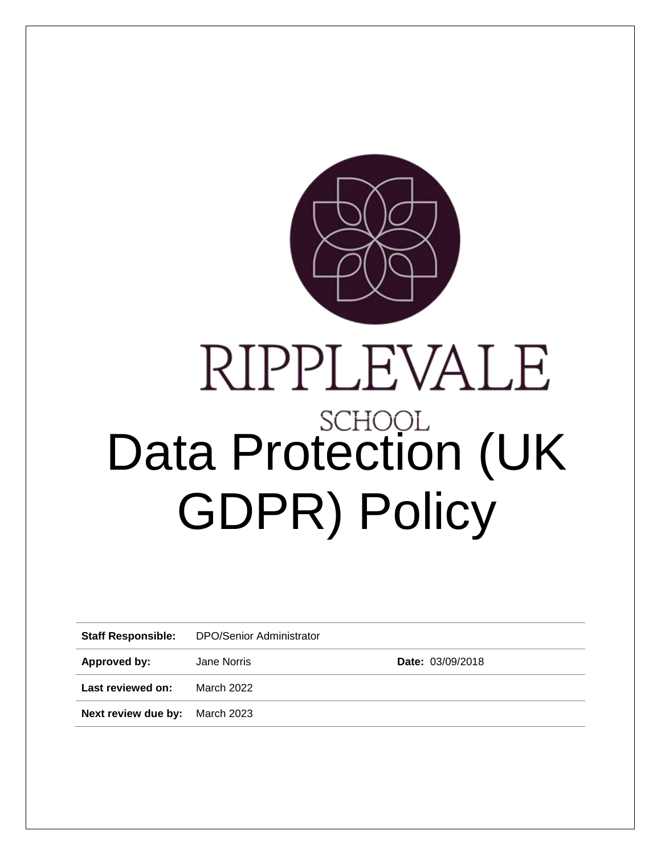

# RIPPLEVALE Data Protection (UK GDPR) Policy

**Staff Responsible:** DPO/Senior Administrator

Approved by: Jane Norris **Date:** 03/09/2018

**Last reviewed on:** March 2022

**Next review due by:** March 2023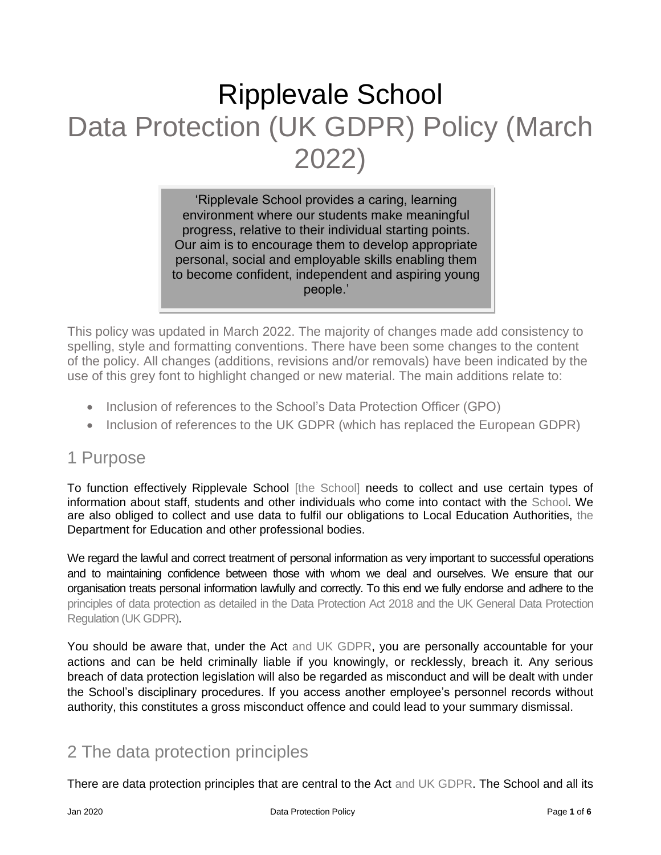# Ripplevale School Data Protection (UK GDPR) Policy (March 2022)

'Ripplevale School provides a caring, learning environment where our students make meaningful progress, relative to their individual starting points. Our aim is to encourage them to develop appropriate personal, social and employable skills enabling them to become confident, independent and aspiring young people.'

This policy was updated in March 2022. The majority of changes made add consistency to spelling, style and formatting conventions. There have been some changes to the content of the policy. All changes (additions, revisions and/or removals) have been indicated by the use of this grey font to highlight changed or new material. The main additions relate to:

- Inclusion of references to the School's Data Protection Officer (GPO)
- Inclusion of references to the UK GDPR (which has replaced the European GDPR)

# 1 Purpose

To function effectively Ripplevale School [the School] needs to collect and use certain types of information about staff, students and other individuals who come into contact with the School. We are also obliged to collect and use data to fulfil our obligations to Local Education Authorities, the Department for Education and other professional bodies.

We regard the lawful and correct treatment of personal information as very important to successful operations and to maintaining confidence between those with whom we deal and ourselves. We ensure that our organisation treats personal information lawfully and correctly. To this end we fully endorse and adhere to the principles of data protection as detailed in the Data Protection Act 2018 and the UK General Data Protection Regulation (UK GDPR).

You should be aware that, under the Act and UK GDPR, you are personally accountable for your actions and can be held criminally liable if you knowingly, or recklessly, breach it. Any serious breach of data protection legislation will also be regarded as misconduct and will be dealt with under the School's disciplinary procedures. If you access another employee's personnel records without authority, this constitutes a gross misconduct offence and could lead to your summary dismissal.

# 2 The data protection principles

There are data protection principles that are central to the Act and UK GDPR. The School and all its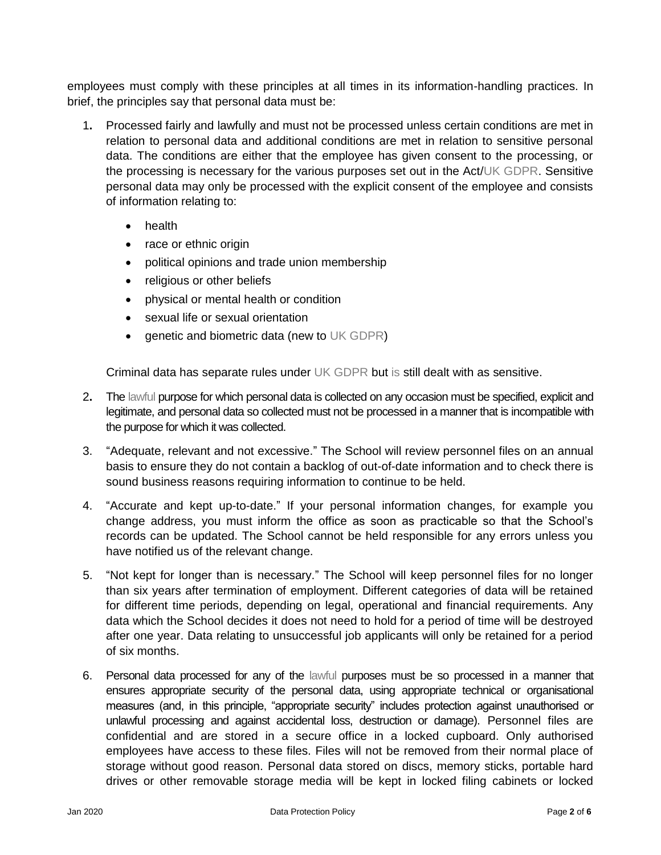employees must comply with these principles at all times in its information-handling practices. In brief, the principles say that personal data must be:

- 1**.** Processed fairly and lawfully and must not be processed unless certain conditions are met in relation to personal data and additional conditions are met in relation to sensitive personal data. The conditions are either that the employee has given consent to the processing, or the processing is necessary for the various purposes set out in the Act/UK GDPR. Sensitive personal data may only be processed with the explicit consent of the employee and consists of information relating to:
	- health
	- race or ethnic origin
	- political opinions and trade union membership
	- religious or other beliefs
	- physical or mental health or condition
	- sexual life or sexual orientation
	- genetic and biometric data (new to UK GDPR)

Criminal data has separate rules under UK GDPR but is still dealt with as sensitive.

- 2**.** The lawful purpose for which personal data is collected on any occasion must be specified, explicit and legitimate, and personal data so collected must not be processed in a manner that is incompatible with the purpose for which it was collected.
- 3. "Adequate, relevant and not excessive." The School will review personnel files on an annual basis to ensure they do not contain a backlog of out-of-date information and to check there is sound business reasons requiring information to continue to be held.
- 4. "Accurate and kept up-to-date." If your personal information changes, for example you change address, you must inform the office as soon as practicable so that the School's records can be updated. The School cannot be held responsible for any errors unless you have notified us of the relevant change.
- 5. "Not kept for longer than is necessary." The School will keep personnel files for no longer than six years after termination of employment. Different categories of data will be retained for different time periods, depending on legal, operational and financial requirements. Any data which the School decides it does not need to hold for a period of time will be destroyed after one year. Data relating to unsuccessful job applicants will only be retained for a period of six months.
- 6. Personal data processed for any of the lawful purposes must be so processed in a manner that ensures appropriate security of the personal data, using appropriate technical or organisational measures (and, in this principle, "appropriate security" includes protection against unauthorised or unlawful processing and against accidental loss, destruction or damage). Personnel files are confidential and are stored in a secure office in a locked cupboard. Only authorised employees have access to these files. Files will not be removed from their normal place of storage without good reason. Personal data stored on discs, memory sticks, portable hard drives or other removable storage media will be kept in locked filing cabinets or locked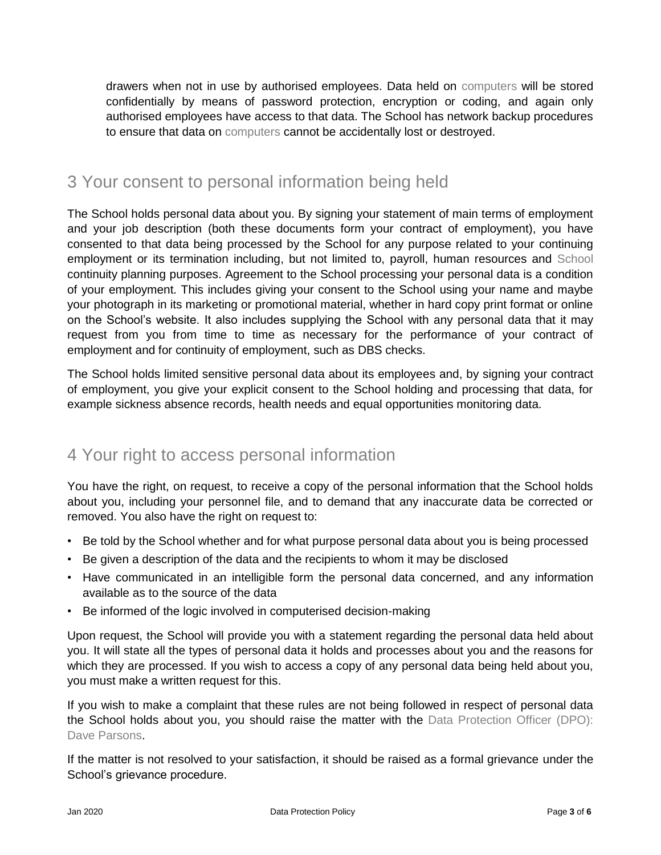drawers when not in use by authorised employees. Data held on computers will be stored confidentially by means of password protection, encryption or coding, and again only authorised employees have access to that data. The School has network backup procedures to ensure that data on computers cannot be accidentally lost or destroyed.

# 3 Your consent to personal information being held

The School holds personal data about you. By signing your statement of main terms of employment and your job description (both these documents form your contract of employment), you have consented to that data being processed by the School for any purpose related to your continuing employment or its termination including, but not limited to, payroll, human resources and School continuity planning purposes. Agreement to the School processing your personal data is a condition of your employment. This includes giving your consent to the School using your name and maybe your photograph in its marketing or promotional material, whether in hard copy print format or online on the School's website. It also includes supplying the School with any personal data that it may request from you from time to time as necessary for the performance of your contract of employment and for continuity of employment, such as DBS checks.

The School holds limited sensitive personal data about its employees and, by signing your contract of employment, you give your explicit consent to the School holding and processing that data, for example sickness absence records, health needs and equal opportunities monitoring data.

# 4 Your right to access personal information

You have the right, on request, to receive a copy of the personal information that the School holds about you, including your personnel file, and to demand that any inaccurate data be corrected or removed. You also have the right on request to:

- Be told by the School whether and for what purpose personal data about you is being processed
- Be given a description of the data and the recipients to whom it may be disclosed
- Have communicated in an intelligible form the personal data concerned, and any information available as to the source of the data
- Be informed of the logic involved in computerised decision-making

Upon request, the School will provide you with a statement regarding the personal data held about you. It will state all the types of personal data it holds and processes about you and the reasons for which they are processed. If you wish to access a copy of any personal data being held about you, you must make a written request for this.

If you wish to make a complaint that these rules are not being followed in respect of personal data the School holds about you, you should raise the matter with the Data Protection Officer (DPO): Dave Parsons.

If the matter is not resolved to your satisfaction, it should be raised as a formal grievance under the School's grievance procedure.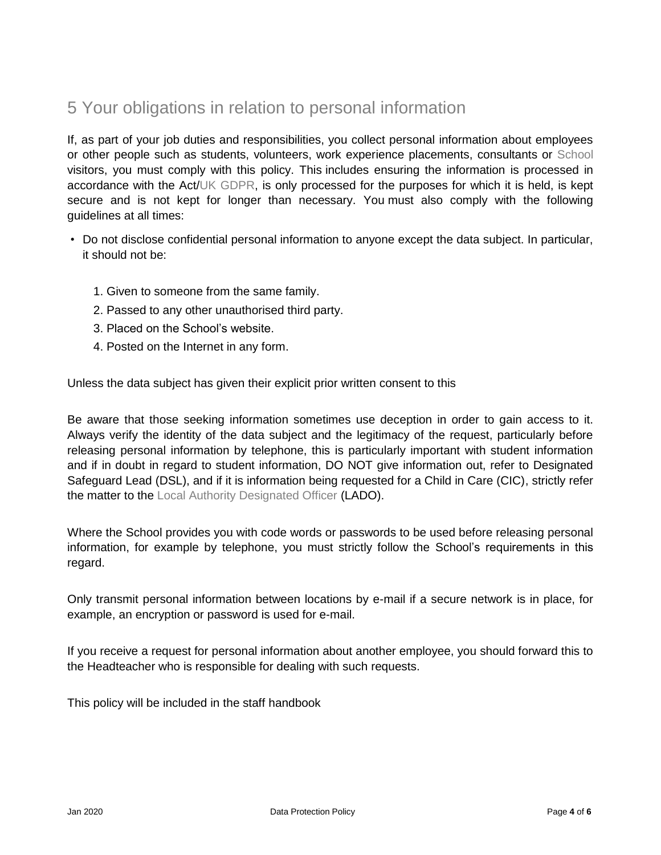# 5 Your obligations in relation to personal information

If, as part of your job duties and responsibilities, you collect personal information about employees or other people such as students, volunteers, work experience placements, consultants or School visitors, you must comply with this policy. This includes ensuring the information is processed in accordance with the Act/UK GDPR, is only processed for the purposes for which it is held, is kept secure and is not kept for longer than necessary. You must also comply with the following guidelines at all times:

- Do not disclose confidential personal information to anyone except the data subject. In particular, it should not be:
	- 1. Given to someone from the same family.
	- 2. Passed to any other unauthorised third party.
	- 3. Placed on the School's website.
	- 4. Posted on the Internet in any form.

Unless the data subject has given their explicit prior written consent to this

Be aware that those seeking information sometimes use deception in order to gain access to it. Always verify the identity of the data subject and the legitimacy of the request, particularly before releasing personal information by telephone, this is particularly important with student information and if in doubt in regard to student information, DO NOT give information out, refer to Designated Safeguard Lead (DSL), and if it is information being requested for a Child in Care (CIC), strictly refer the matter to the Local Authority Designated Officer (LADO).

Where the School provides you with code words or passwords to be used before releasing personal information, for example by telephone, you must strictly follow the School's requirements in this regard.

Only transmit personal information between locations by e-mail if a secure network is in place, for example, an encryption or password is used for e-mail.

If you receive a request for personal information about another employee, you should forward this to the Headteacher who is responsible for dealing with such requests.

This policy will be included in the staff handbook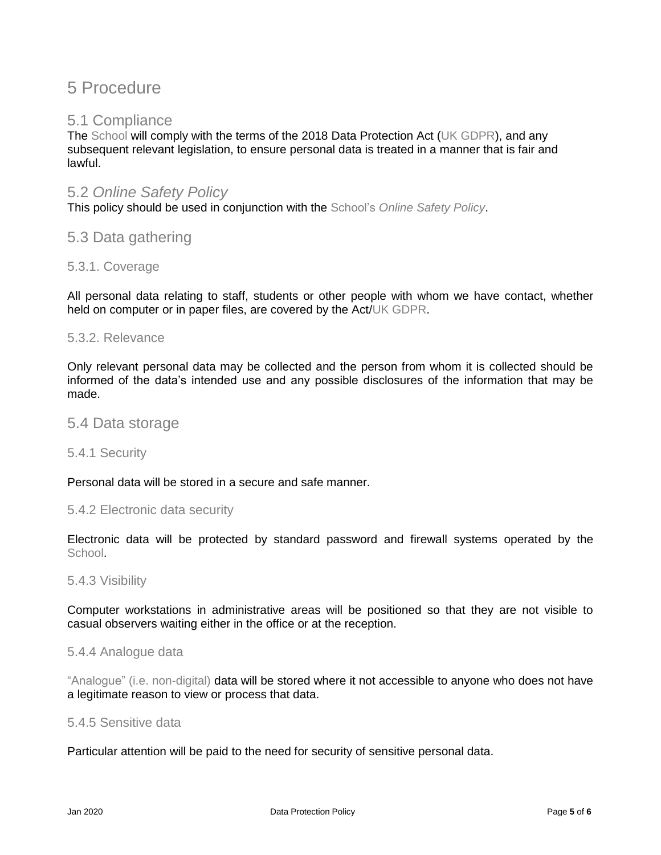# 5 Procedure

# 5.1 Compliance

The School will comply with the terms of the 2018 Data Protection Act (UK GDPR), and any subsequent relevant legislation, to ensure personal data is treated in a manner that is fair and lawful.

# 5.2 *Online Safety Policy*

This policy should be used in conjunction with the School's *Online Safety Policy*.

# 5.3 Data gathering

# 5.3.1. Coverage

All personal data relating to staff, students or other people with whom we have contact, whether held on computer or in paper files, are covered by the Act/UK GDPR.

# 5.3.2. Relevance

Only relevant personal data may be collected and the person from whom it is collected should be informed of the data's intended use and any possible disclosures of the information that may be made.

# 5.4 Data storage

# 5.4.1 Security

Personal data will be stored in a secure and safe manner.

# 5.4.2 Electronic data security

Electronic data will be protected by standard password and firewall systems operated by the School.

# 5.4.3 Visibility

Computer workstations in administrative areas will be positioned so that they are not visible to casual observers waiting either in the office or at the reception.

# 5.4.4 Analogue data

"Analogue" (i.e. non-digital) data will be stored where it not accessible to anyone who does not have a legitimate reason to view or process that data.

#### 5.4.5 Sensitive data

Particular attention will be paid to the need for security of sensitive personal data.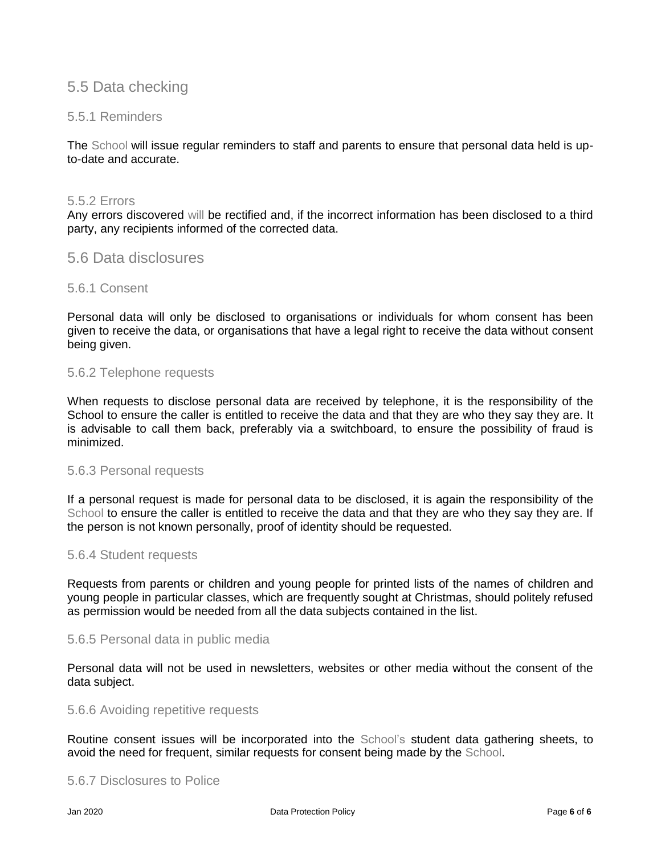# 5.5 Data checking

# 5.5.1 Reminders

The School will issue regular reminders to staff and parents to ensure that personal data held is upto-date and accurate.

#### 5.5.2 Errors

Any errors discovered will be rectified and, if the incorrect information has been disclosed to a third party, any recipients informed of the corrected data.

# 5.6 Data disclosures

# 5.6.1 Consent

Personal data will only be disclosed to organisations or individuals for whom consent has been given to receive the data, or organisations that have a legal right to receive the data without consent being given.

# 5.6.2 Telephone requests

When requests to disclose personal data are received by telephone, it is the responsibility of the School to ensure the caller is entitled to receive the data and that they are who they say they are. It is advisable to call them back, preferably via a switchboard, to ensure the possibility of fraud is minimized.

#### 5.6.3 Personal requests

If a personal request is made for personal data to be disclosed, it is again the responsibility of the School to ensure the caller is entitled to receive the data and that they are who they say they are. If the person is not known personally, proof of identity should be requested.

# 5.6.4 Student requests

Requests from parents or children and young people for printed lists of the names of children and young people in particular classes, which are frequently sought at Christmas, should politely refused as permission would be needed from all the data subjects contained in the list.

# 5.6.5 Personal data in public media

Personal data will not be used in newsletters, websites or other media without the consent of the data subject.

#### 5.6.6 Avoiding repetitive requests

Routine consent issues will be incorporated into the School's student data gathering sheets, to avoid the need for frequent, similar requests for consent being made by the School.

# 5.6.7 Disclosures to Police